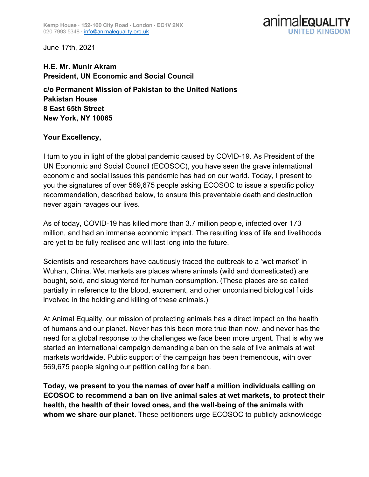

June 17th, 2021

## **H.E. Mr. Munir Akram President, UN Economic and Social Council c/o Permanent Mission of Pakistan to the United Nations Pakistan House 8 East 65th Street New York, NY 10065**

## **Your Excellency,**

I turn to you in light of the global pandemic caused by COVID-19. As President of the UN Economic and Social Council (ECOSOC), you have seen the grave international economic and social issues this pandemic has had on our world. Today, I present to you the signatures of over 569,675 people asking ECOSOC to issue a specific policy recommendation, described below, to ensure this preventable death and destruction never again ravages our lives.

As of today, COVID-19 has killed more than 3.7 million people, infected over 173 million, and had an immense economic impact. The resulting loss of life and livelihoods are yet to be fully realised and will last long into the future.

Scientists and researchers have cautiously traced the outbreak to a 'wet market' in Wuhan, China. Wet markets are places where animals (wild and domesticated) are bought, sold, and slaughtered for human consumption. (These places are so called partially in reference to the blood, excrement, and other uncontained biological fluids involved in the holding and killing of these animals.)

At Animal Equality, our mission of protecting animals has a direct impact on the health of humans and our planet. Never has this been more true than now, and never has the need for a global response to the challenges we face been more urgent. That is why we started an international campaign demanding a ban on the sale of live animals at wet markets worldwide. Public support of the campaign has been tremendous, with over 569,675 people signing our petition calling for a ban.

**Today, we present to you the names of over half a million individuals calling on ECOSOC to recommend a ban on live animal sales at wet markets, to protect their health, the health of their loved ones, and the well-being of the animals with whom we share our planet.** These petitioners urge ECOSOC to publicly acknowledge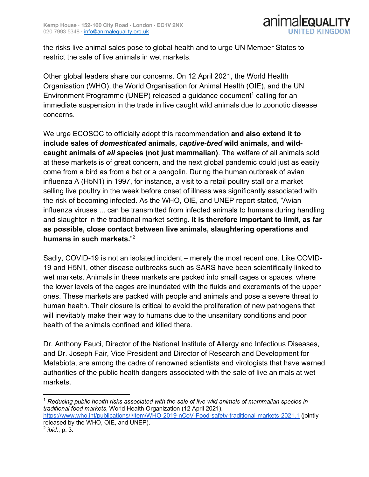

the risks live animal sales pose to global health and to urge UN Member States to restrict the sale of live animals in wet markets.

Other global leaders share our concerns. On 12 April 2021, the World Health Organisation (WHO), the World Organisation for Animal Health (OIE), and the UN Environment Programme (UNEP) released a guidance document<sup>1</sup> calling for an immediate suspension in the trade in live caught wild animals due to zoonotic disease concerns.

We urge ECOSOC to officially adopt this recommendation **and also extend it to include sales of** *domesticated* **animals,** *captive-bred* **wild animals, and wildcaught animals of** *all* **species (not just mammalian)**. The welfare of all animals sold at these markets is of great concern, and the next global pandemic could just as easily come from a bird as from a bat or a pangolin. During the human outbreak of avian influenza A (H5N1) in 1997, for instance, a visit to a retail poultry stall or a market selling live poultry in the week before onset of illness was significantly associated with the risk of becoming infected. As the WHO, OIE, and UNEP report stated, "Avian influenza viruses ... can be transmitted from infected animals to humans during handling and slaughter in the traditional market setting. **It is therefore important to limit, as far as possible, close contact between live animals, slaughtering operations and humans in such markets.**" 2

Sadly, COVID-19 is not an isolated incident – merely the most recent one. Like COVID-19 and H5N1, other disease outbreaks such as SARS have been scientifically linked to wet markets. Animals in these markets are packed into small cages or spaces, where the lower levels of the cages are inundated with the fluids and excrements of the upper ones. These markets are packed with people and animals and pose a severe threat to human health. Their closure is critical to avoid the proliferation of new pathogens that will inevitably make their way to humans due to the unsanitary conditions and poor health of the animals confined and killed there.

Dr. Anthony Fauci, Director of the National Institute of Allergy and Infectious Diseases, and Dr. Joseph Fair, Vice President and Director of Research and Development for Metabiota, are among the cadre of renowned scientists and virologists that have warned authorities of the public health dangers associated with the sale of live animals at wet markets.

https://www.who.int/publications/i/item/WHO-2019-nCoV-Food-safety-traditional-markets-2021.1 (jointly released by the WHO, OIE, and UNEP).

 <sup>1</sup> *Reducing public health risks associated with the sale of live wild animals of mammalian species in traditional food markets*, World Health Organization (12 April 2021),

<sup>2</sup> *ibid*., p. 3.